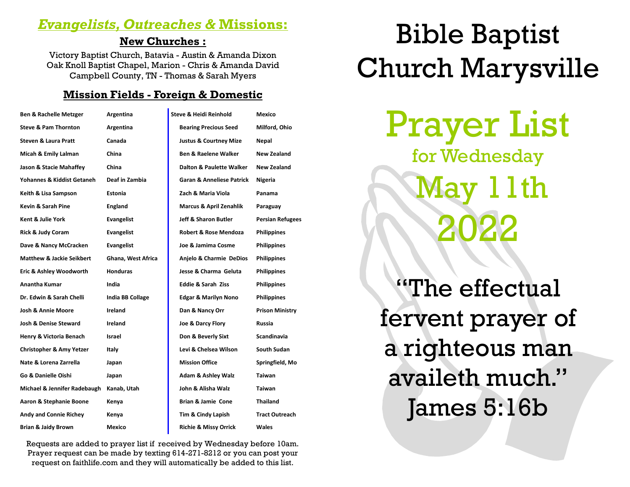### *Evangelists, Outreaches &* **Missions:**

#### **New Churches :**

Victory Baptist Church, Batavia - Austin & Amanda Dixon Oak Knoll Baptist Chapel, Marion - Chris & Amanda David Campbell County, TN - Thomas & Sarah Myers

#### **Mission Fields - Foreign & Domestic**

| <b>Ben &amp; Rachelle Metzger</b>    | Argentina               | Steve & Heidi Reinhold               | Mexico                  |
|--------------------------------------|-------------------------|--------------------------------------|-------------------------|
| <b>Steve &amp; Pam Thornton</b>      | Argentina               | <b>Bearing Precious Seed</b>         | Milford, Ohio           |
| <b>Steven &amp; Laura Pratt</b>      | Canada                  | <b>Justus &amp; Courtney Mize</b>    | Nepal                   |
| Micah & Emily Lalman                 | China                   | <b>Ben &amp; Raelene Walker</b>      | New Zealand             |
| Jason & Stacie Mahaffey              | China                   | Dalton & Paulette Walker             | New Zealand             |
| Yohannes & Kiddist Getaneh           | Deaf in Zambia          | <b>Garan &amp; Anneliese Patrick</b> | Nigeria                 |
| Keith & Lisa Sampson                 | Estonia                 | Zach & Maria Viola                   | Panama                  |
| Kevin & Sarah Pine                   | <b>England</b>          | <b>Marcus &amp; April Zenahlik</b>   | Paraguay                |
| Kent & Julie York                    | <b>Evangelist</b>       | Jeff & Sharon Butler                 | <b>Persian Refugees</b> |
| Rick & Judy Coram                    | <b>Evangelist</b>       | <b>Robert &amp; Rose Mendoza</b>     | <b>Philippines</b>      |
| Dave & Nancy McCracken               | Evangelist              | Joe & Jamima Cosme                   | <b>Philippines</b>      |
| <b>Matthew &amp; Jackie Seikbert</b> | Ghana, West Africa      | Anjelo & Charmie DeDios              | <b>Philippines</b>      |
| Eric & Ashley Woodworth              | <b>Honduras</b>         | Jesse & Charma Geluta                | <b>Philippines</b>      |
| <b>Anantha Kumar</b>                 | India                   | <b>Eddie &amp; Sarah Ziss</b>        | <b>Philippines</b>      |
| Dr. Edwin & Sarah Chelli             | <b>India BB Collage</b> | <b>Edgar &amp; Marilyn Nono</b>      | <b>Philippines</b>      |
| <b>Josh &amp; Annie Moore</b>        | Ireland                 | Dan & Nancy Orr                      | <b>Prison Ministry</b>  |
| <b>Josh &amp; Denise Steward</b>     | Ireland                 | Joe & Darcy Flory                    | Russia                  |
| Henry & Victoria Benach              | Israel                  | Don & Beverly Sixt                   | Scandinavia             |
| <b>Christopher &amp; Amy Yetzer</b>  | Italy                   | Levi & Chelsea Wilson                | South Sudan             |
| Nate & Lorena Zarrella               | Japan                   | <b>Mission Office</b>                | Springfield, Mo         |
| Go & Danielle Oishi                  | Japan                   | <b>Adam &amp; Ashley Walz</b>        | Taiwan                  |
| Michael & Jennifer Radebaugh         | Kanab, Utah             | John & Alisha Walz                   | <b>Taiwan</b>           |
| Aaron & Stephanie Boone              | Kenya                   | Brian & Jamie Cone                   | <b>Thailand</b>         |
| <b>Andy and Connie Richey</b>        | Kenya                   | Tim & Cindy Lapish                   | <b>Tract Outreach</b>   |
| <b>Brian &amp; Jaidy Brown</b>       | Mexico                  | <b>Richie &amp; Missy Orrick</b>     | Wales                   |

Requests are added to prayer list if received by Wednesday before 10am. Prayer request can be made by texting 614-271-8212 or you can post your request on faithlife.com and they will automatically be added to this list.

# Bible Baptist Church Marysville

Prayer List for Wednesday  $1$ th 2022

"The effectual fervent prayer of a righteous man availeth much." James 5:16b